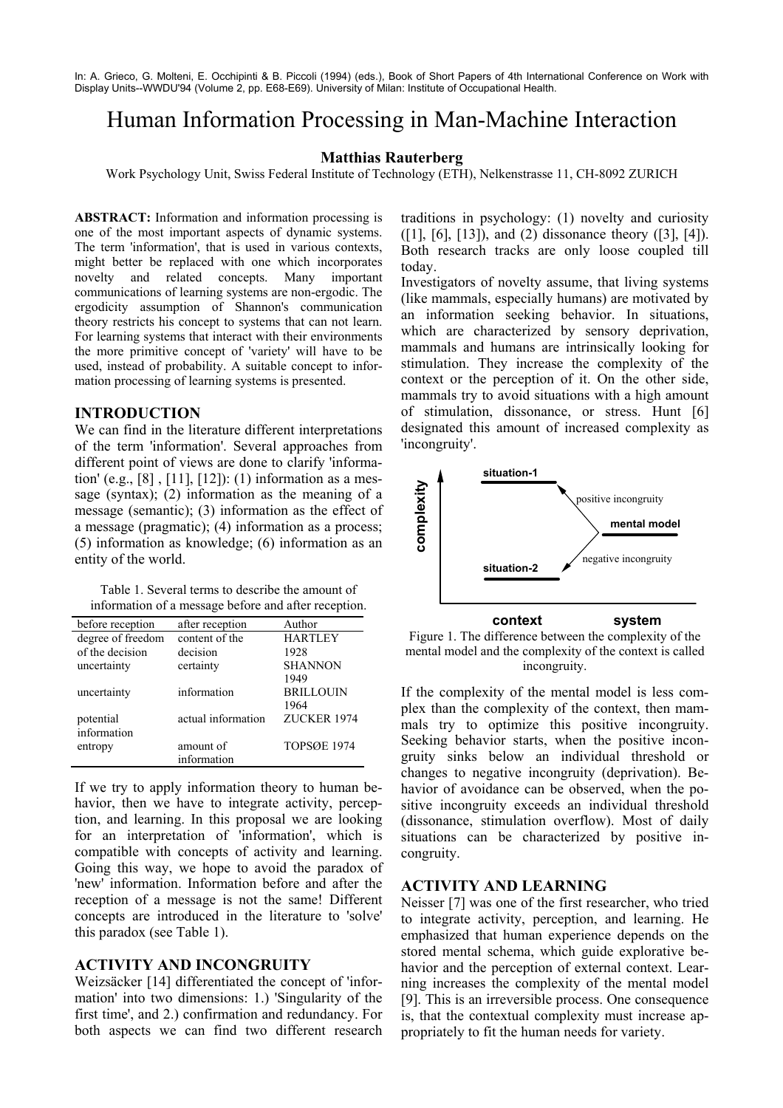In: A. Grieco, G. Molteni, E. Occhipinti & B. Piccoli (1994) (eds.), Book of Short Papers of 4th International Conference on Work with Display Units--WWDU'94 (Volume 2, pp. E68-E69). University of Milan: Institute of Occupational Health.

# Human Information Processing in Man-Machine Interaction

## **Matthias Rauterberg**

Work Psychology Unit, Swiss Federal Institute of Technology (ETH), Nelkenstrasse 11, CH-8092 ZURICH

**ABSTRACT:** Information and information processing is one of the most important aspects of dynamic systems. The term 'information', that is used in various contexts, might better be replaced with one which incorporates novelty and related concepts. Many important communications of learning systems are non-ergodic. The ergodicity assumption of Shannon's communication theory restricts his concept to systems that can not learn. For learning systems that interact with their environments the more primitive concept of 'variety' will have to be used, instead of probability. A suitable concept to information processing of learning systems is presented.

#### **INTRODUCTION**

We can find in the literature different interpretations of the term 'information'. Several approaches from different point of views are done to clarify 'information' (e.g., [8] , [11], [12]): (1) information as a message (syntax); (2) information as the meaning of a message (semantic); (3) information as the effect of a message (pragmatic); (4) information as a process; (5) information as knowledge; (6) information as an entity of the world.

Table 1. Several terms to describe the amount of information of a message before and after reception.

| before reception  | after reception    | Author             |
|-------------------|--------------------|--------------------|
| degree of freedom | content of the     | <b>HARTLEY</b>     |
| of the decision   | decision           | 1928               |
| uncertainty       | certainty          | <b>SHANNON</b>     |
|                   |                    | 1949               |
| uncertainty       | information        | <b>BRILLOUIN</b>   |
|                   |                    | 1964               |
| potential         | actual information | ZUCKER 1974        |
| information       |                    |                    |
| entropy           | amount of          | <b>TOPSØE 1974</b> |
|                   | information        |                    |

If we try to apply information theory to human behavior, then we have to integrate activity, perception, and learning. In this proposal we are looking for an interpretation of 'information', which is compatible with concepts of activity and learning. Going this way, we hope to avoid the paradox of 'new' information. Information before and after the reception of a message is not the same! Different concepts are introduced in the literature to 'solve' this paradox (see Table 1).

## **ACTIVITY AND INCONGRUITY**

Weizsäcker [14] differentiated the concept of 'information' into two dimensions: 1.) 'Singularity of the first time', and 2.) confirmation and redundancy. For both aspects we can find two different research traditions in psychology: (1) novelty and curiosity ([1], [6], [13]), and (2) dissonance theory ([3], [4]). Both research tracks are only loose coupled till today.

Investigators of novelty assume, that living systems (like mammals, especially humans) are motivated by an information seeking behavior. In situations, which are characterized by sensory deprivation, mammals and humans are intrinsically looking for stimulation. They increase the complexity of the context or the perception of it. On the other side, mammals try to avoid situations with a high amount of stimulation, dissonance, or stress. Hunt [6] designated this amount of increased complexity as 'incongruity'.



Figure 1. The difference between the complexity of the mental model and the complexity of the context is called incongruity.

If the complexity of the mental model is less complex than the complexity of the context, then mammals try to optimize this positive incongruity. Seeking behavior starts, when the positive incongruity sinks below an individual threshold or changes to negative incongruity (deprivation). Behavior of avoidance can be observed, when the positive incongruity exceeds an individual threshold (dissonance, stimulation overflow). Most of daily situations can be characterized by positive incongruity.

## **ACTIVITY AND LEARNING**

Neisser [7] was one of the first researcher, who tried to integrate activity, perception, and learning. He emphasized that human experience depends on the stored mental schema, which guide explorative behavior and the perception of external context. Learning increases the complexity of the mental model [9]. This is an irreversible process. One consequence is, that the contextual complexity must increase appropriately to fit the human needs for variety.